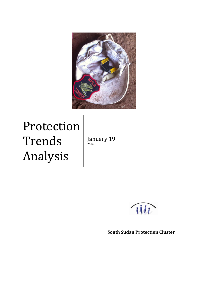

# Protection Trends Analysis

January 19 2014



 **South Sudan Protection Cluster**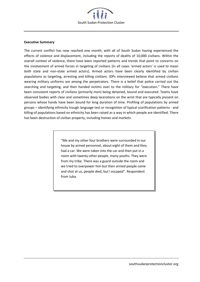

#### **Executive Summary**

The current conflict has now reached one month, with all of South Sudan having experienced the effects of violence and displacement, including the reports of deaths of 10,000 civilians. Within the overall context of violence, there have been reported patterns and trends that point to concerns on the involvement of armed forces in targeting of civilians [in all cases 'armed actors' is used to mean *both* state and non-state armed actors]. Armed actors have been clearly identified by civilian populations as targeting, arresting and killing civilians. IDPs interviewed believe that armed civilians wearing military uniforms are among the perpetrators. There is a belief that police carried out the searching and targeting, and then handed victims over to the military for "execution." There have been consistent reports of civilians (primarily men) being detained, bound and executed. Teams have observed bodies with clear and sometimes deep lacerations on the wrist that are typically present on persons whose hands have been bound for long duration of time. Profiling of populations by armed groups – identifying ethnicity trough language test or recognition of typical scarification patterns - and killing of populations based on ethnicity has been raised as a way in which people are identified. There has been destruction of civilian property, including homes and markets.

> "Me and my other four brothers were surrounded in our house by armed personnel, about eight of them and they had a car. We were taken into the car and then put in a room with twenty other people, many youths. They were from my tribe. There was a guard outside the room and we tried to overpower him but then armed people came and shot at us, people died, but I escaped". Respondent from Juba.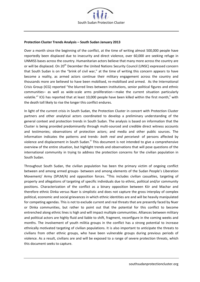

#### **Protection Cluster Trends Analysis – South Sudan January 2013**

Over a month since the beginning of the conflict, at the time of writing almost 500,000 people have reportedly been displaced due to insecurity and direct violence, over 60,000 are seeking refuge in UNMISS bases across the country. Humanitarian actors believe that many more across the country are or will be displaced. On 20<sup>th</sup> December the United Nations Security Council (UNSC) expressed concern that South Sudan is on the "brink of civil war," at the time of writing this concern appears to have become a reality, as armed actors continue their military engagement across the country and thousands more are believed to have been mobilised, re-mobilised and armed. As the International Crisis Group (ICG) reported "the blurred lines between institutions, senior political figures and ethnic communities– as well as wide-scale arms proliferation—make the current situation particularly volatile."<sup>i</sup> ICG has reported that at least 10,000 people have been killed within the first month,<sup>ii</sup> with the death toll likely to rise the longer this conflict endures.

In light of the current crisis in South Sudan, the Protection Cluster in concert with Protection Cluster partners and other analytical actors coordinated to develop a preliminary understanding of the general context and protection trends in South Sudan. The analysis is based on information that the Cluster is being provided predominantly through multi-sourced and credible direct witness accounts and testimonies; observations of protection actors; and media and other public sources. The information indicates the patterns and trends- *both real and perceived*- of persons affected by violence and displacement in South Sudan.<sup>iii</sup> This document is not intended to give a comprehensive overview of the entire situation, but highlight trends and observations that will pose questions of the international community in trying to address the protection concerns for the civilian population in South Sudan.

Throughout South Sudan, the civilian population has been the primary victim of ongoing conflict between and among armed groups- between and among elements of the Sudan People's Liberation Movement/ Army (SPLM/A) and opposition forces. <sup>iv</sup>This includes civilian casualties, targeting of property and allegations of targeting of specific individuals due to ethnic, political and/or community positions. Characterization of the conflict as a binary opposition between Kiir and Machar and therefore ethnic Dinka versus Nuer is simplistic and does not capture the gross interplay of complex political, economic and social grievances in which ethnic identities are and will be heavily manipulated for competing agendas. This is not to exclude current and real threats that are presently faced by Nuer or Dinka communities, but rather to point out that the potential for this conflict to become entrenched along ethnic lines is high and will impact multiple communities. Alliances between military and political actors are highly fluid and liable to shift, fragment, reconfigure in the coming weeks and months. The involvement of youth militia groups in the conflict has a strong potential to increase ethnically motivated targeting of civilian populations. It is also important to anticipate the threats to civilians from other ethnic groups, who have been vulnerable groups during previous periods of violence. As a result, civilians are and will be exposed to a range of severe protection threats, which this document seeks to capture.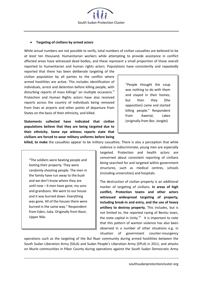# **Targeting of civilians by armed actors**

While actual numbers are not possible to verify, total numbers of civilian casualties are believed to be *at least* ten thousand. Humanitarian workers while attempting to provide assistance in conflict affected areas have witnessed dead bodies, and these represent a small proportion of those overall reported to humanitarian and human rights actors. Populations have consistently and repeatedly

reported that there has been deliberate targeting of the civilian population by all parties to the conflict where armed hostilities are active. This includes identification of individuals, arrest and detention before killing people, with disturbing reports of mass killings<sup>v</sup> on multiple occasions.<sup>vi</sup> Protection and Human Rights actors have also received reports across the country of individuals being removed from lines at airports and other points of departure from States on the basis of their ethnicity, and killed.

**Statements collected have indicated that civilian populations believe that they are being targeted due to their ethnicity. Some eye witness reports state that civilians are forced to wear military uniforms before being** 

"People thought the coup was nothing to do with them and stayed in their homes, but then they [the opposition] came and started killing people." Respondent from Awerial, Lakes (originally from Bor, Jonglei)

**killed, to make** the casualties appear to be military casualties**.** There is also a perception that while

"The soldiers were beating people and looting their property. They were randomly shooting people. The men in the family have run away to the bush and we don't know where they are until now – 6 men have gone, my sons and grandsons. We went to our house and it was burned down. Everything was gone. All of the houses there were burned in the same way." Respondent from Eden, Juba. Originally from Nasir, Upper Nile.

violence is indiscriminate, young men are especially targeted. Protection and health actors are concerned about consistent reporting of civilians being searched for and targeted within government structures, such as medical centres, schools (including universities) and hospitals.

The destruction of civilian property is an additional marker of targeting of civilians. **In areas of high conflict, Protection teams and other actors witnessed widespread targeting of property, including break-in and entry, and the use of heavy artillery to destroy property.** This includes, but is not limited to, the reported razing of Bentiu town, the state capital in Unity. $\frac{v}{u}$  It is important to note that this pattern of wanton violence has also been observed in a number of other situations e.g. in situation of government counter-insurgency

operations such as the targeting of the Bul Nuer community during armed hostilities between the South Sudan Liberation Army (SSLA) and Sudan People's Liberation Army (SPLA) in 2011; and attacks on Murle communities in Pibor County during operations against the South Sudan Democratic Army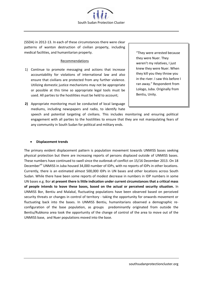

(SSDA) in 2012-13. In each of these circumstances there were clear patterns of wanton destruction of civilian property, including medical facilities, and humanitarian property.

#### Recommendations

1) Continue to promote messaging and actions that increase accountability for violations of international law and also ensure that civilians are protected from any further violence. Utilizing domestic justice mechanisms may not be appropriate or possible at this time so appropriate legal tools must be used. All parties to the hostilities must be held to account;

"They were arrested because they were Nuer. They weren't my relatives, I just knew they were Nuer. When they kill you they throw you in the river. I saw this before I ran away." Respondent from Lologo, Juba. Originally from Bentiu, Unity.

**2)** Appropriate monitoring must be conducted of local language mediums, including newspapers and radio, to identify hate

speech and potential targeting of civilians. This includes monitoring and ensuring political engagement with all parties to the hostilities to ensure that they are not manipulating fears of any community in South Sudan for political and military ends.

## **Displacement trends**

The primary evident displacement pattern is population movement towards UNMISS bases seeking physical protection but there are increasing reports of persons displaced outside of UNMISS bases. These numbers have continued to swell since the outbreak of conflict on 15/16 December 2013. On 18 December<sup>viii</sup> UNMISS in Juba housed 34,000 number of IDPs, with no reports of IDPs in other locations. Currently, there is an estimated almost 500,000 IDPs in UN bases and other locations across South Sudan. While there have been some reports of modest decrease in numbers in IDP numbers in some UN bases e.g. Bor **at present there is little indication under current circumstances that a critical mass of people intends to leave these bases, based on the actual or perceived security situation.** In UNMISS Bor, Bentiu and Malakal, fluctuating populations have been observed based on perceived security threats or changes in control of territory - taking the opportunity for onwards movement or fluctuating back into the bases. In UNMISS Bentiu, humanitarians observed a demographic reconfiguration of the base population, as groups predominantly originated from outside the Bentiu/Rubkona area took the opportunity of the change of control of the area to move out of the UNMISS base, and Nuer populations moved into the base.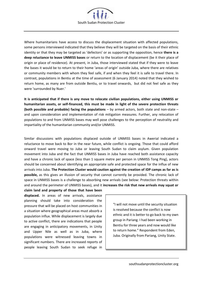

Where humanitarians have access to discuss the displacement situation with affected populations, some persons interviewed indicated that they believe they will be targeted on the basis of their ethnic identity or that they may be targeted as 'defectors' or as supporting the opposition, hence **there is a deep reluctance to leave UNMISS bases** or return to the location of displacement (be it their place of origin or place of residence). At present, in Juba, those interviewed stated that if they were to leave the bases it would be to return to their home 'areas of origin' outside Juba, where there are relatives or community members with whom they feel safe, if and when they feel it is safe to travel there. In contrast, populations in Bentiu at the time of assessment (6 January 2014) noted that they wished to return home, as many are from outside Bentiu, or to travel onwards, but did not feel safe as they were 'surrounded by Nuer.'

**It is anticipated that if there is any move to relocate civilian populations, either using UNMISS or humanitarian assets, or self-financed, this must be made in light of the severe protection threats (both possible and probable) facing the populations** – by armed actors, both state and non-state – and upon consideration and implementation of risk mitigation measures. Further, any relocation of populations to and from UNMISS bases may well pose challenges to the perception of neutrality and impartiality of the humanitarian community and/or UNMISS.

Similar discussions with populations displaced outside of UNMISS bases in Awerial indicated a reluctance to move back to Bor in the near future, while conflict is ongoing. Those that could afford onward travel were moving to Juba or leaving South Sudan to claim asylum. Given population movement into Juba and the fact that UNMISS bases in Juba have reached both assistance capacity and have a chronic lack of space (less than 1 square metre per person in UNMISS Tong Ping), actors should be concerned about identifying an appropriate safe and protected space for the influx of new arrivals into Juba. **The Protection Cluster would caution against the creation of IDP camps as far as is possible,** as this gives an illusion of security that cannot currently be provided. The chronic lack of space in UNMISS bases is a challenge to absorbing new arrivals (see below: Protection threats within and around the perimeter of UNMISS bases), and it **increases the risk that new arrivals may squat or** 

**claim land and property of those that have been displaced.** In areas of new arrivals, assistance planning should take into consideration the pressure that will be placed on host communities in a situation where geographical areas must absorb a population influx. While displacement is largely due to active conflict, there are indications that people are engaging in anticipatory movements, in Unity and Upper Nile as well as in Juba, where populations were witnessed leaving towns in significant numbers. There are increased reports of people leaving South Sudan to seek refuge in

"I will not move until the security situation is resolved because the conflict is now ethnic and it is better to go back to my own group in Pariang. I had been working in Bentiu for three years and now would like to return home." Respondent from Eden, Juba. Originally from Pariang, Unity State.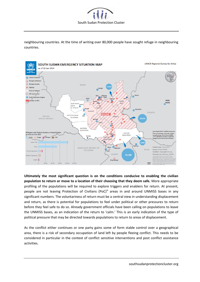

neighbouring countries. At the time of writing over 80,000 people have sought refuge in neighbouring countries.



**Ultimately the most significant question is on the conditions conducive to enabling the civilian population to return or move to a location of their choosing that they deem safe.** More appropriate profiling of the populations will be required to explore triggers and enablers for return. At present, people are not leaving Protection of Civilians (PoC) $\dot{x}$  areas in and around UNMISS bases in any significant numbers. The voluntariness of return must be a central view in understanding displacement and return, as there is potential for populations to feel under political or other pressures to return before they feel safe to do so. Already government officials have been calling on populations to leave the UNMISS bases, as an indication of the return to 'calm.' This is an early indication of the type of political pressure that may be directed towards populations to return to areas of displacement.

As the conflict either continues or one party gains some of form stable control over a geographical area, there is a risk of secondary occupation of land left by people fleeing conflict. This needs to be considered in particular in the context of conflict sensitive interventions and post conflict assistance activities.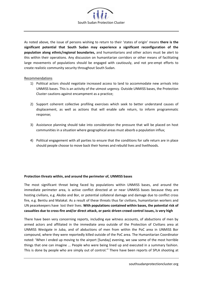

As noted above, the issue of persons wishing to return to their 'states of origin' means **there is the significant potential that South Sudan may experience a significant reconfiguration of the population along ethnic/regional boundaries,** and humanitarians and other actors must be alert to this within their operations. Any discussion on humanitarian corridors or other means of facilitating large movements of populations should be engaged with cautiously, and not pre-empt efforts to create realistic community security throughout South Sudan.

### Recommendations

- 1) Political actors should negotiate increased access to land to accommodate new arrivals into UNMISS bases. This is an activity of the utmost urgency. Outside UNMISS bases, the Protection Cluster cautions against encampment as a practice;
- 2) Support coherent collective profiling exercises which seek to better understand causes of displacement, as well as actions that will enable safe return, to inform programmatic response;
- 3) Assistance planning should take into consideration the pressure that will be placed on host communities in a situation where geographical areas must absorb a population influx;
- 4) Political engagement with all parties to ensure that the conditions for safe return are in place should people choose to move back their homes and rebuild lives and livelihoods.

### **Protection threats within, and around the perimeter of, UNMISS bases**

The most significant threat being faced by populations within UNMISS bases, and around the immediate perimeter area, is active conflict directed at or near UNMISS bases because they are hosting civilians, e.g. Akobo and Bor, or potential collateral damage and damage due to conflict cross fire, e.g. Bentiu and Malakal. As a result of these threats thus far civilians, humanitarian workers and UN peacekeepers have lost their lives. **With populations contained within bases, the potential risk of casualties due to cross-fire and/or direct attack, or panic driven crowd control issues, is very high**

There have been very concerning reports, including eye witness accounts, of abductions of men by armed actors and affiliated in the immediate area outside of the Protection of Civilians area at UNMISS Westgate in Juba, and of abductions of men from within the PoC area in UNMISS Bor compound, where they were reportedly killed outside of the PoC area. The Humanitarian Coordinator noted: 'When I ended up moving to the airport [Sunday] evening, we saw some of the most horrible things that one can imagine ... People who were being lined up and executed in a summary fashion. This is done by people who are simply out of control.<sup>'x</sup> There have been reports of SPLA shooting at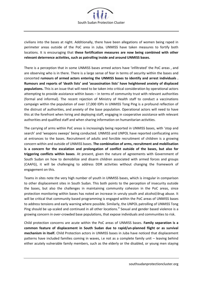

civilians into the bases at night. Additionally, there have been allegations of women being raped in perimeter areas outside of the PoC area in Juba. UNMISS have taken measures to fortify both locations. It is encouraging that **these fortification measures are now being combined with other relevant deterrence activities, such as patrolling inside and around UNMISS bases.**

There is a perception that in some UNMISS bases armed actors have 'infiltrated' the PoC areas , and are observing who is in there. There is a large sense of fear in terms of security within the bases and concerted **rumours of armed actors entering the UNMISS bases to identify and arrest individuals . Rumours and reports of 'death lists' and 'assassination lists' have heightened anxiety of displaced populations.** This is an issue that will need to be taken into critical consideration by operational actors attempting to provide assistance within bases – in terms of community trust with relevant authorities (formal and informal). The recent rejection of Ministry of Health staff to conduct a vaccinations campaign within the population of over 17,000 IDPs in UNMISS Tong Ping is a profound reflection of the distrust of authorities, and anxiety of the base population. Operational actors will need to have this at the forefront when hiring and deploying staff, engaging in cooperative assistance with relevant authorities and qualified staff and when sharing information on humanitarian activities.

The carrying of arms within PoC areas is increasingly being reported in UNMISS bases, with 'stop and search' and 'weapons sweeps' being conducted. UNMISS and UNPOL have reported confiscating arms at entrances to the bases. Recruitment of adults and forcible recruitment of children is a growing concern within and outside of UNMISS bases. **The combination of arms, recruitment and mobilisation is a concern for the escalation and prolongation of conflict outside of the bases, but also for triggering conflicts within bases**. At present, given the nature of agreements with Government of South Sudan on how to demobilize and disarm children associated with armed forces and groups (CAAFG), it will be challenging to address DDR activities without changing the framework of engagement on this.

Teams in sites note the very high number of youth in UNMISS bases, which is irregular in comparison to other displacement sites in South Sudan. This both points to the perception of insecurity outside the bases, but also the challenges in maintaining community cohesion in the PoC areas, since protection monitoring within bases has noted an increase in unruly youth and alcohol/drug abuse. It will be critical that community based programming is engaged within the PoC areas of UNMISS bases to address tensions and early warning where possible. Similarly, the UNPOL patrolling of UNMISS Tong Ping should be up-scaled and continued in all other locations.<sup>xi</sup> Sexual and gender based violence is a growing concern in over-crowded base populations, that expose individuals and communities to risk.

Child protection concerns are acute within the PoC areas of UNMISS bases. **Family separation is a common feature of displacement in South Sudan due to rapid/un-planned flight or as survival mechanism in itself.** Child Protection actors in UNMISS bases in Juba have noticed that displacement patterns have included families coming in waves, i.e not as a complete family unit – leaving behind either acutely vulnerable family members, such as the elderly or the disabled, or young men staying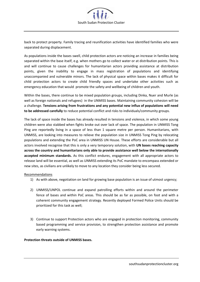

back to protect property. Family tracing and reunification activities have identified families who were separated during displacement.

As populations inside the bases swell, child protection actors are noticing an increase in families being separated within the base itself, e.g. when mothers go to collect water or at distribution points. This is and will continue to cause challenges for humanitarian actors providing assistance at distribution points, given the inability to engage in mass registration of populations and identifying unaccompanied and vulnerable minors. The lack of physical space within bases makes it difficult for child protection actors to create child friendly spaces and undertake other activities such as emergency education that would promote the safety and wellbeing of children and youth.

Within the bases, there continue to be mixed population groups, including Dinka, Nuer and Murle (as well as foreign nationals and refugees) in the UNMISS bases. Maintaining community cohesion will be a challenge. **Tensions arising from frustrations and any potential new influx of populations will need to be addressed carefully** to reduce potential conflict and risks to individuals/community groups.

The lack of space inside the bases has already resulted in tensions and violence, in which some young children were also stabbed when fights broke out over lack of space. The population in UNMISS Tong Ping are reportedly living in a space of less than 1 square metre per person. Humanitarians, with UNMISS, are looking into measures to relieve the population size in UNMISS Tong Ping by relocating populations and extending the PoC area in UNMISS UN House. These efforts are considerable but all actors involved recognise that this is only a very temporary solution, with **UN bases reaching capacity across the country and humanitarians only able to provide assistance well below the internationally accepted minimum standards.** As this conflict endures, engagement with all appropriate actors to release land will be essential, as well as UNMISS extending its PoC mandate to encompass extended or new sites, as civilians are unlikely to move to any location they consider being less secured.

### Recommendations

- 1) As with above, negotiation on land for growing base population is an issue of utmost urgency;
- 2) UNMISS/UNPOL continue and expand patrolling efforts within and around the perimeter fence of bases and within PoC areas. This should be as far as possible, on foot and with a coherent community engagement strategy. Recently deployed Formed Police Units should be prioritized for this task as well;
- 3) Continue to support Protection actors who are engaged in protection monitoring, community based programming and service provision, to strengthen protection assistance and promote early warning systems.

## **Protection threats outside of UNMISS bases.**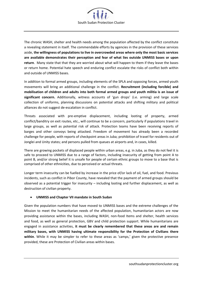

The chronic WASH, shelter and health needs among the population affected by the conflict constitute a revealing statement in itself. The commendable efforts by agencies in the provision of these services aside, **the willingness of populations to live in overcrowded areas where only the most basic services are available demonstrates their perception and fear of what lies outside UNMISS bases or upon return**. Many state that that they are worried about what will happen to them if they leave the bases or return home. Potential hate speech and enduring conflict escalate the risks of conflict both within and outside of UNMISS bases.

In addition to formal armed groups, including elements of the SPLA and opposing forces, armed youth movements will bring an additional challenge in the conflict. **Recruitment (including forcible) and mobilisation of children and adults into both formal armed groups and youth militia is an issue of significant concern.** Additionally, witness accounts of 'gun drops' (i.e. arming) and large scale collection of uniforms, planning discussions on potential attacks and shifting military and political alliances do not suggest de-escalation in conflict.

Threats associated with pre-emptive displacement, including looting of property, armed conflict/banditry on exit routes, etc., will continue to be a concern, particularly if populations travel in large groups, as well as potential risk of attack. Protection teams have been receiving reports of barges and other convoys being attacked. Freedom of movement has already been a recorded challenge for people, with reports of checkpoint areas in Juba; prohibition of travel for residents out of Jonglei and Unity states; and persons pulled from queues at airports and, in cases, killed.

There are growing pockets of displaced people within urban areas, e.g. in Juba, as they do not feel it is safe to proceed to UNMISS due to a range of factors, including insecurity of getting from point A to point B, and/or strong belief it is unsafe for people of certain ethnic groups to move to a base that is comprised of other ethnicities, due to perceived or actual threats.

Longer term insecurity can be fuelled by increase in the price of/or lack of oil, fuel, and food. Previous incidents, such as conflict in Pibor County, have revealed that the payment of armed groups should be observed as a potential trigger for insecurity – including looting and further displacement, as well as destruction of civilian property.

# **UNMISS and Chapter VII mandate in South Sudan**

Given the population numbers that have moved to UNMISS bases and the extreme challenges of the Mission to meet the humanitarian needs of the affected population, humanitarian actors are now providing assistance within the bases, including WASH, non-food Items and shelter, health services and food, as well as general protection, GBV and child protection support. While humanitarians are engaged in assistance activities, **it must be clearly remembered that these areas are and remain military bases, with UNMISS having ultimate responsibility for the Protection of Civilians there**  within. While it may be simpler to refer to these areas as 'camps,' given the protective presence provided, these are Protection of Civilian areas within bases.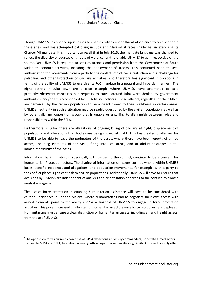

Though UNMISS has opened up its bases to enable civilians under threat of violence to take shelter in these sites, and has attempted patrolling in Juba and Malakal, it faces challenges in exercising its Chapter VII mandate. It is important to recall that in July 2013, the mandate language was changed to reflect the diversity of sources of threats of violence, and to enable UNMISS to act irrespective of the source. Yet, UNMISS is required to seek assurances and permission from the Government of South Sudan to conduct activities, including the deployment of troops. This continued need to seek authorization for movements from a party to the conflict introduces a restriction and a challenge for patrolling and other Protection of Civilians activities, and therefore has significant implications in terms of the ability of UNMISS to exercise its PoC mandate in a neutral and impartial manner. The night patrols in Juba town are a clear example where UNMISS have attempted to take protective/deterrent measures but requests to travel around Juba were denied by government authorities, and/or are accompanied by SPLA liaison officers. These officers, regardless of their titles, are perceived by the civilian population to be a direct threat to their well-being in certain areas. UNMISS neutrality in such a situation may be readily questioned by the civilian population, as well as by potentially any opposition group that is unable or unwilling to distinguish between roles and responsibilities within the SPLA.

Furthermore, in Juba, there are allegations of ongoing killing of civilians at night, displacement of populations and allegations that bodies are being moved at night. This has created challenges for UNMISS to be able to leave the perimeters of the bases, where there have been reports of armed actors, including elements of the SPLA, firing into PoC areas, and of abductions/rapes in the immediate vicinity of the bases.

Information sharing protocols, specifically with parties to the conflict, continue to be a concern for humanitarian Protection actors. The sharing of information on issues such as who is within UNMISS bases, specific incidences and allegations, and population movements, for example, with a party to the conflict places significant risk to civilian populations. Additionally, UNMISS will have to ensure that decisions by UNMISS are independent of analysis and prioritisation of parties to the conflict, to allow a neutral engagement.

The use of force protection in enabling humanitarian assistance will have to be considered with caution. Incidences in Bor and Malakal where humanitarians had to negotiate their own access with armed elements point to the ability and/or willingness of UNMISS to engage in force protection activities. This poses increased challenges for humanitarian actors once force multipliers are deployed. Humanitarians must ensure a clear distinction of humanitarian assets, including air and freight assets, from those of UNMISS.

**.** 

<sup>&</sup>lt;sup>i</sup> The opposition forces currently comprise of: SPLA defections under key commanders, non-state armed actors such as the SSDA and SSLA, formalized armed youth groups or armed militias e.g. White Army and possibly other